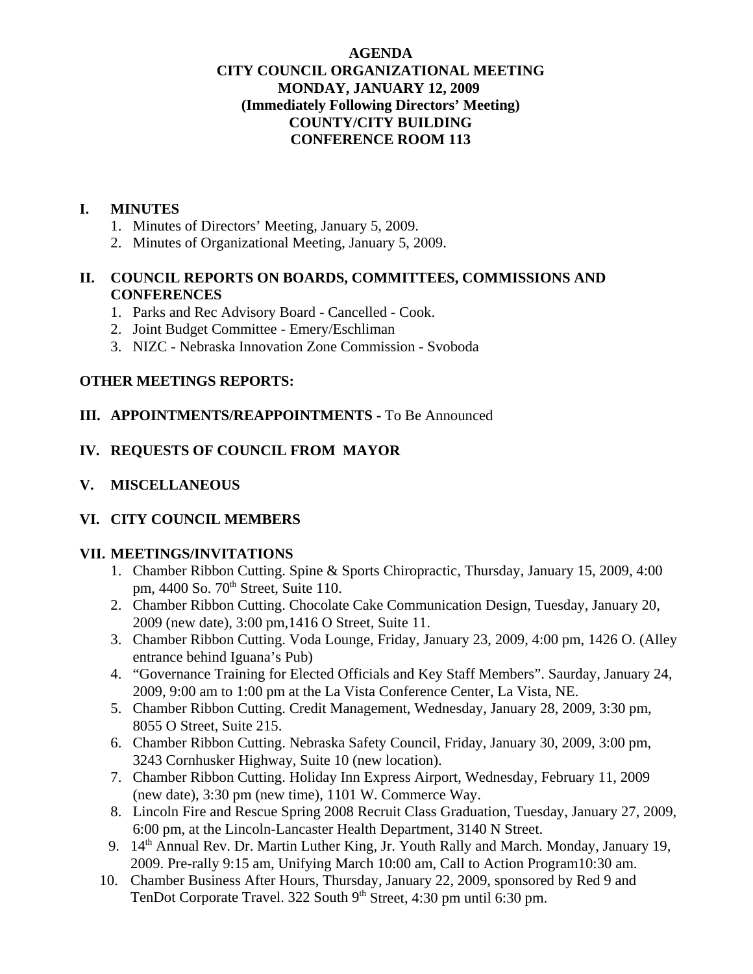#### **AGENDA CITY COUNCIL ORGANIZATIONAL MEETING MONDAY, JANUARY 12, 2009 (Immediately Following Directors' Meeting) COUNTY/CITY BUILDING CONFERENCE ROOM 113**

#### **I. MINUTES**

- 1. Minutes of Directors' Meeting, January 5, 2009.
- 2. Minutes of Organizational Meeting, January 5, 2009.

#### **II. COUNCIL REPORTS ON BOARDS, COMMITTEES, COMMISSIONS AND CONFERENCES**

- 1. Parks and Rec Advisory Board Cancelled Cook.
- 2. Joint Budget Committee Emery/Eschliman
- 3. NIZC Nebraska Innovation Zone Commission Svoboda

# **OTHER MEETINGS REPORTS:**

# **III. APPOINTMENTS/REAPPOINTMENTS -** To Be Announced

# **IV. REQUESTS OF COUNCIL FROM MAYOR**

**V. MISCELLANEOUS**

# **VI. CITY COUNCIL MEMBERS**

#### **VII. MEETINGS/INVITATIONS**

- 1. Chamber Ribbon Cutting. Spine & Sports Chiropractic, Thursday, January 15, 2009, 4:00 pm, 4400 So. 70<sup>th</sup> Street, Suite 110.
- 2. Chamber Ribbon Cutting. Chocolate Cake Communication Design, Tuesday, January 20, 2009 (new date), 3:00 pm,1416 O Street, Suite 11.
- 3. Chamber Ribbon Cutting. Voda Lounge, Friday, January 23, 2009, 4:00 pm, 1426 O. (Alley entrance behind Iguana's Pub)
- 4. "Governance Training for Elected Officials and Key Staff Members". Saurday, January 24, 2009, 9:00 am to 1:00 pm at the La Vista Conference Center, La Vista, NE.
- 5. Chamber Ribbon Cutting. Credit Management, Wednesday, January 28, 2009, 3:30 pm, 8055 O Street, Suite 215.
- 6. Chamber Ribbon Cutting. Nebraska Safety Council, Friday, January 30, 2009, 3:00 pm, 3243 Cornhusker Highway, Suite 10 (new location).
- 7. Chamber Ribbon Cutting. Holiday Inn Express Airport, Wednesday, February 11, 2009 (new date), 3:30 pm (new time), 1101 W. Commerce Way.
- 8. Lincoln Fire and Rescue Spring 2008 Recruit Class Graduation, Tuesday, January 27, 2009, 6:00 pm, at the Lincoln-Lancaster Health Department, 3140 N Street.
- 9. 14<sup>th</sup> Annual Rev. Dr. Martin Luther King, Jr. Youth Rally and March. Monday, January 19, 2009. Pre-rally 9:15 am, Unifying March 10:00 am, Call to Action Program10:30 am.
- 10. Chamber Business After Hours, Thursday, January 22, 2009, sponsored by Red 9 and TenDot Corporate Travel. 322 South 9<sup>th</sup> Street, 4:30 pm until 6:30 pm.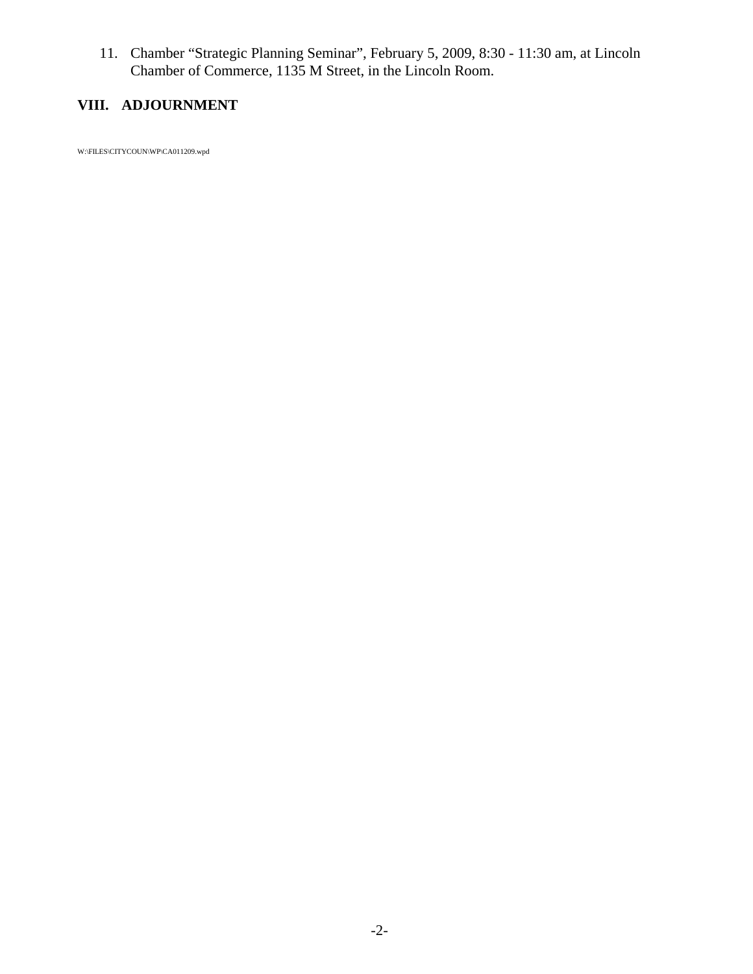11. Chamber "Strategic Planning Seminar", February 5, 2009, 8:30 - 11:30 am, at Lincoln Chamber of Commerce, 1135 M Street, in the Lincoln Room.

# **VIII. ADJOURNMENT**

W:\FILES\CITYCOUN\WP\CA011209.wpd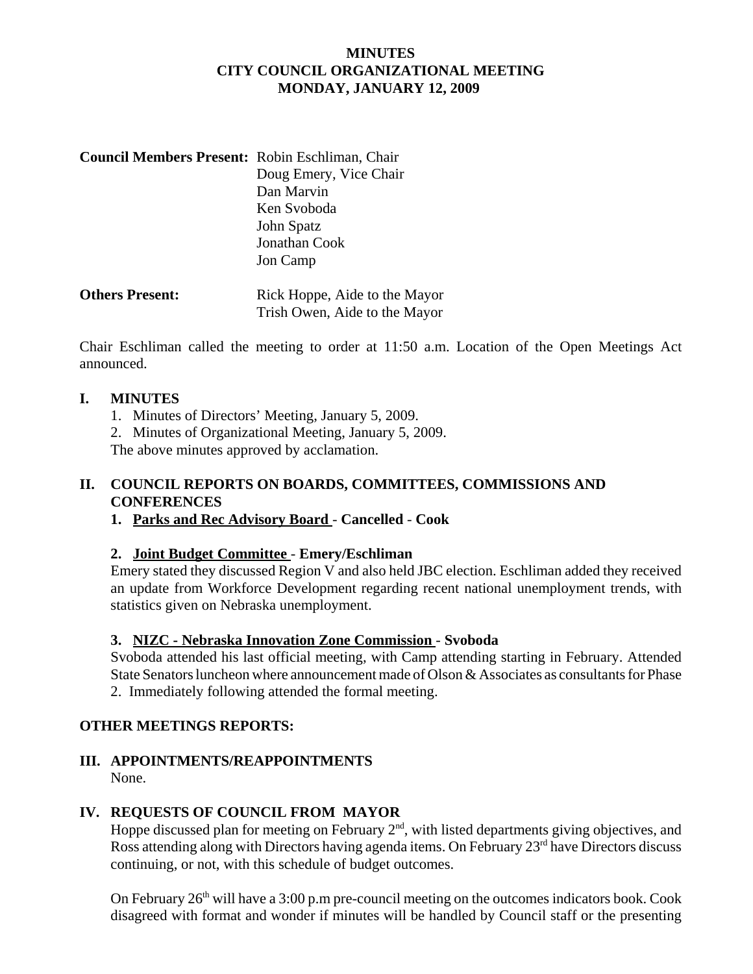#### **MINUTES CITY COUNCIL ORGANIZATIONAL MEETING MONDAY, JANUARY 12, 2009**

| <b>Council Members Present: Robin Eschliman, Chair</b> |                        |
|--------------------------------------------------------|------------------------|
|                                                        | Doug Emery, Vice Chair |
|                                                        | Dan Marvin             |
|                                                        | Ken Svoboda            |
|                                                        | John Spatz             |
|                                                        | Jonathan Cook          |
|                                                        | Jon Camp               |
|                                                        |                        |

| <b>Others Present:</b> | Rick Hoppe, Aide to the Mayor |
|------------------------|-------------------------------|
|                        | Trish Owen, Aide to the Mayor |

Chair Eschliman called the meeting to order at 11:50 a.m. Location of the Open Meetings Act announced.

#### **I. MINUTES**

- 1. Minutes of Directors' Meeting, January 5, 2009.
- 2. Minutes of Organizational Meeting, January 5, 2009.

The above minutes approved by acclamation.

#### **II. COUNCIL REPORTS ON BOARDS, COMMITTEES, COMMISSIONS AND CONFERENCES**

**1. Parks and Rec Advisory Board** - **Cancelled** - **Cook**

#### **2. Joint Budget Committee** - **Emery/Eschliman**

Emery stated they discussed Region V and also held JBC election. Eschliman added they received an update from Workforce Development regarding recent national unemployment trends, with statistics given on Nebraska unemployment.

#### **3. NIZC - Nebraska Innovation Zone Commission** - **Svoboda**

Svoboda attended his last official meeting, with Camp attending starting in February. Attended State Senators luncheon where announcement made of Olson & Associates as consultants for Phase 2. Immediately following attended the formal meeting.

# **OTHER MEETINGS REPORTS:**

# **III. APPOINTMENTS/REAPPOINTMENTS**

None.

# **IV. REQUESTS OF COUNCIL FROM MAYOR**

Hoppe discussed plan for meeting on February  $2<sup>nd</sup>$ , with listed departments giving objectives, and Ross attending along with Directors having agenda items. On February  $23<sup>rd</sup>$  have Directors discuss continuing, or not, with this schedule of budget outcomes.

On February  $26<sup>th</sup>$  will have a 3:00 p.m pre-council meeting on the outcomes indicators book. Cook disagreed with format and wonder if minutes will be handled by Council staff or the presenting